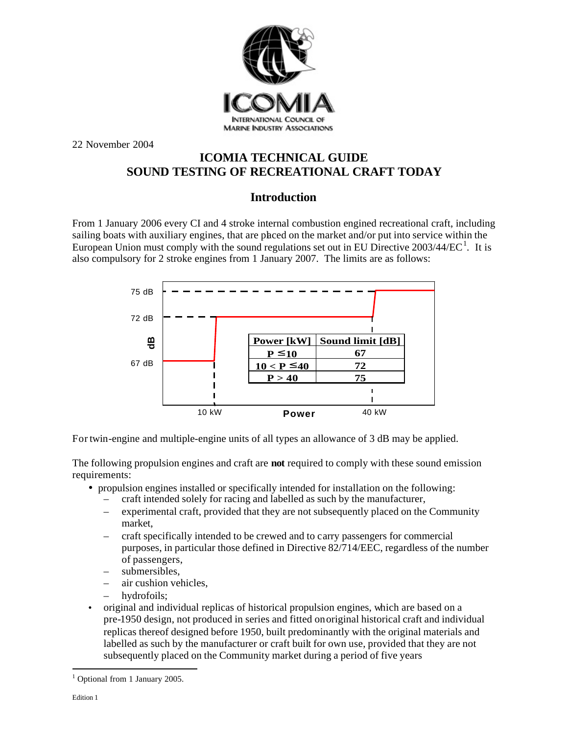

22 November 2004

## **ICOMIA TECHNICAL GUIDE SOUND TESTING OF RECREATIONAL CRAFT TODAY**

## **Introduction**

From 1 January 2006 every CI and 4 stroke internal combustion engined recreational craft, including sailing boats with auxiliary engines, that are placed on the market and/or put into service within the European Union must comply with the sound regulations set out in EU Directive  $2003/44/EC^1$ . It is also compulsory for 2 stroke engines from 1 January 2007. The limits are as follows:



For twin-engine and multiple-engine units of all types an allowance of 3 dB may be applied.

The following propulsion engines and craft are **not** required to comply with these sound emission requirements:

- propulsion engines installed or specifically intended for installation on the following:
	- craft intended solely for racing and labelled as such by the manufacturer,
	- experimental craft, provided that they are not subsequently placed on the Community market,
	- craft specifically intended to be crewed and to carry passengers for commercial purposes, in particular those defined in Directive 82/714/EEC, regardless of the number of passengers,
	- submersibles,
	- air cushion vehicles.
	- hydrofoils:
- original and individual replicas of historical propulsion engines, which are based on a pre-1950 design, not produced in series and fitted on original historical craft and individual replicas thereof designed before 1950, built predominantly with the original materials and labelled as such by the manufacturer or craft built for own use, provided that they are not subsequently placed on the Community market during a period of five years

 $\overline{\phantom{a}}$ 

<sup>&</sup>lt;sup>1</sup> Optional from 1 January 2005.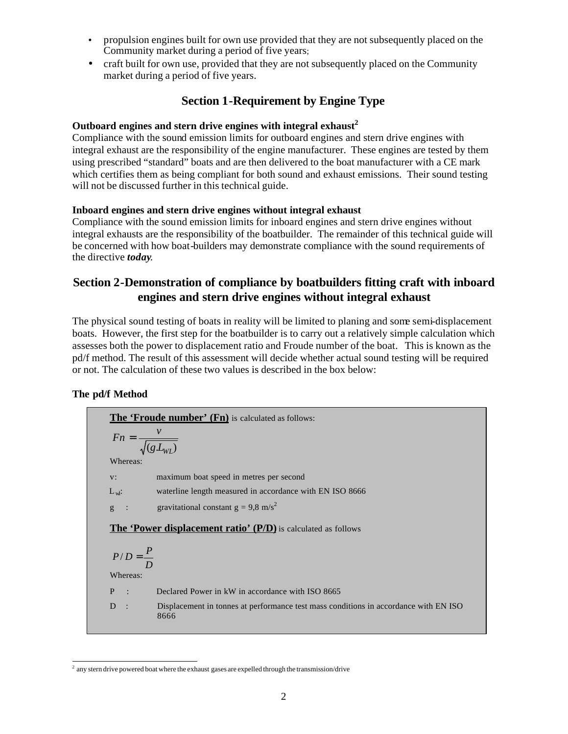- propulsion engines built for own use provided that they are not subsequently placed on the Community market during a period of five years;
- craft built for own use, provided that they are not subsequently placed on the Community market during a period of five years.

# **Section 1-Requirement by Engine Type**

### **Outboard engines and stern drive engines with integral exhaust<sup>2</sup>**

Compliance with the sound emission limits for outboard engines and stern drive engines with integral exhaust are the responsibility of the engine manufacturer. These engines are tested by them using prescribed "standard" boats and are then delivered to the boat manufacturer with a CE mark which certifies them as being compliant for both sound and exhaust emissions. Their sound testing will not be discussed further in this technical guide.

### **Inboard engines and stern drive engines without integral exhaust**

Compliance with the sound emission limits for inboard engines and stern drive engines without integral exhausts are the responsibility of the boatbuilder. The remainder of this technical guide will be concerned with how boat-builders may demonstrate compliance with the sound requirements of the directive *today*.

## **Section 2-Demonstration of compliance by boatbuilders fitting craft with inboard engines and stern drive engines without integral exhaust**

The physical sound testing of boats in reality will be limited to planing and some semi-displacement boats. However, the first step for the boatbuilder is to carry out a relatively simple calculation which assesses both the power to displacement ratio and Froude number of the boat. This is known as the pd/f method. The result of this assessment will decide whether actual sound testing will be required or not. The calculation of these two values is described in the box below:

### **The pd/f Method**

The 'Froude number' (Fn) is calculated as follows:  $(g.L_{WL})$  $Fn = \frac{v}{\sqrt{v}}$ Whereas v: maximum boat speed in metres per second  $L<sub>w</sub>$ : waterline length measured in accordance with EN ISO 8666 g : gravitational constant  $g = 9.8$  m/s<sup>2</sup> The 'Power displacement ratio' (P/D) is calculated as follows *D*  $P/D = \frac{P}{q}$ Whereas: P : Declared Power in kW in accordance with ISO 8665 D : Displacement in tonnes at performance test mass conditions in accordance with EN ISO 8666

<sup>&</sup>lt;sup>2</sup> any stern drive powered boat where the exhaust gases are expelled through the transmission/drive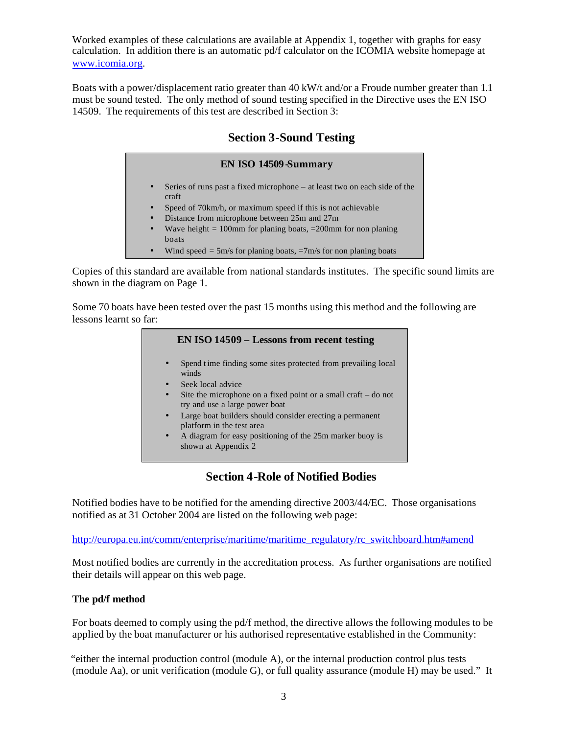Worked examples of these calculations are available at Appendix 1, together with graphs for easy calculation. In addition there is an automatic pd/f calculator on the ICOMIA website homepage at www.icomia.org.

Boats with a power/displacement ratio greater than 40 kW/t and/or a Froude number greater than 1.1 must be sound tested. The only method of sound testing specified in the Directive uses the EN ISO 14509. The requirements of this test are described in Section 3:

## **Section 3-Sound Testing**

## **EN ISO 14509-Summary** Series of runs past a fixed microphone – at least two on each side of the craft Speed of 70km/h, or maximum speed if this is not achievable • Distance from microphone between 25m and 27m Wave height  $= 100$ mm for planing boats,  $= 200$ mm for non planing boats • Wind speed  $= 5$ m/s for planing boats,  $= 7$ m/s for non planing boats

Copies of this standard are available from national standards institutes. The specific sound limits are shown in the diagram on Page 1.

Some 70 boats have been tested over the past 15 months using this method and the following are lessons learnt so far:

### **EN ISO 14509 – Lessons from recent testing**

- Spend t ime finding some sites protected from prevailing local winds
- Seek local advice
- Site the microphone on a fixed point or a small craft  $-$  do not try and use a large power boat
- Large boat builders should consider erecting a permanent platform in the test area
- A diagram for easy positioning of the 25m marker buoy is shown at Appendix 2

## **Section 4-Role of Notified Bodies**

Notified bodies have to be notified for the amending directive 2003/44/EC. Those organisations notified as at 31 October 2004 are listed on the following web page:

http://europa.eu.int/comm/enterprise/maritime/maritime\_regulatory/rc\_switchboard.htm#amend

Most notified bodies are currently in the accreditation process. As further organisations are notified their details will appear on this web page.

#### **The pd/f method**

For boats deemed to comply using the pd/f method, the directive allows the following modules to be applied by the boat manufacturer or his authorised representative established in the Community:

"either the internal production control (module A), or the internal production control plus tests (module Aa), or unit verification (module G), or full quality assurance (module H) may be used." It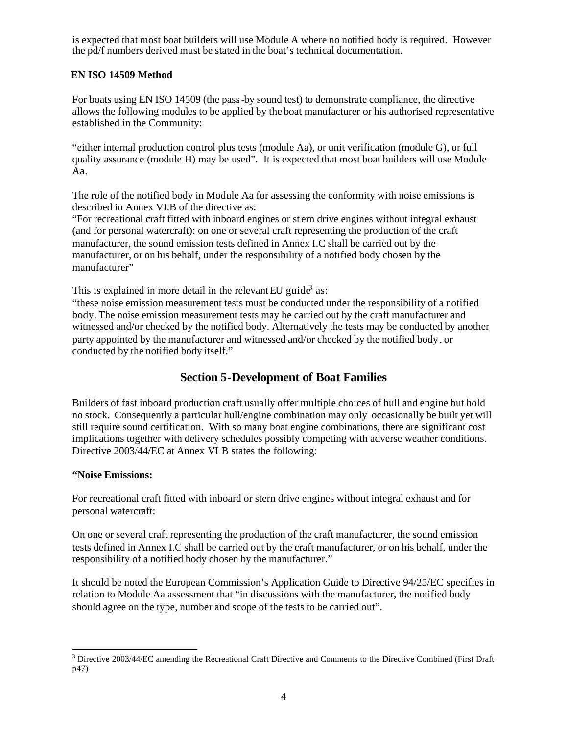is expected that most boat builders will use Module A where no notified body is required. However the pd/f numbers derived must be stated in the boat's technical documentation.

### **EN ISO 14509 Method**

For boats using EN ISO 14509 (the pass-by sound test) to demonstrate compliance, the directive allows the following modules to be applied by the boat manufacturer or his authorised representative established in the Community:

"either internal production control plus tests (module Aa), or unit verification (module G), or full quality assurance (module H) may be used". It is expected that most boat builders will use Module Aa.

The role of the notified body in Module Aa for assessing the conformity with noise emissions is described in Annex VI.B of the directive as:

"For recreational craft fitted with inboard engines or st ern drive engines without integral exhaust (and for personal watercraft): on one or several craft representing the production of the craft manufacturer, the sound emission tests defined in Annex I.C shall be carried out by the manufacturer, or on his behalf, under the responsibility of a notified body chosen by the manufacturer"

This is explained in more detail in the relevant EU guide<sup>3</sup> as:

"these noise emission measurement tests must be conducted under the responsibility of a notified body. The noise emission measurement tests may be carried out by the craft manufacturer and witnessed and/or checked by the notified body. Alternatively the tests may be conducted by another party appointed by the manufacturer and witnessed and/or checked by the notified body , or conducted by the notified body itself."

## **Section 5-Development of Boat Families**

Builders of fast inboard production craft usually offer multiple choices of hull and engine but hold no stock. Consequently a particular hull/engine combination may only occasionally be built yet will still require sound certification. With so many boat engine combinations, there are significant cost implications together with delivery schedules possibly competing with adverse weather conditions. Directive 2003/44/EC at Annex VI B states the following:

### **"Noise Emissions:**

For recreational craft fitted with inboard or stern drive engines without integral exhaust and for personal watercraft:

On one or several craft representing the production of the craft manufacturer, the sound emission tests defined in Annex I.C shall be carried out by the craft manufacturer, or on his behalf, under the responsibility of a notified body chosen by the manufacturer."

It should be noted the European Commission's Application Guide to Directive 94/25/EC specifies in relation to Module Aa assessment that "in discussions with the manufacturer, the notified body should agree on the type, number and scope of the tests to be carried out".

 $\overline{\phantom{a}}$ <sup>3</sup> Directive 2003/44/EC amending the Recreational Craft Directive and Comments to the Directive Combined (First Draft p47)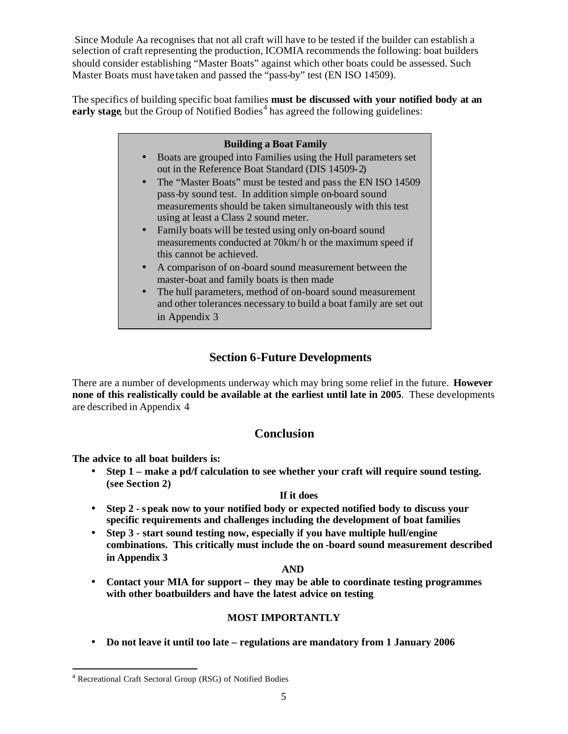Since Module Aa recognises that not all craft will have to be tested if the builder can establish a selection of craft representing the production, ICOMIA recommends the following: boat builders should consider establishing "Master Boats" against which other boats could be assessed. Such Master Boats must have taken and passed the "pass-by" test (EN ISO 14509).

The specifics of building specific boat families **must be discussed with your notified body at an**  early stage, but the Group of Notified Bodies<sup>4</sup> has agreed the following guidelines:

#### **Building a Boat Family**

- Boats are grouped into Families using the Hull parameters set out in the Reference Boat Standard (DIS 14509-2)
- The "Master Boats" must be tested and pass the EN ISO 14509 pass-by sound test. In addition simple on-board sound measurements should be taken simultaneously with this test using at least a Class 2 sound meter.
- Family boats will be tested using only on-board sound measurements conducted at 70km/ h or the maximum speed if this cannot be achieved.
- A comparison of on -board sound measurement between the master-boat and family boats is then made
- The hull parameters, method of on-board sound measurement and other tolerances necessary to build a boat family are set out in Appendix 3

# **Section 6-Future Developments**

There are a number of developments underway which may bring some relief in the future. **However none of this realistically could be available at the earliest until late in 2005**. These developments are described in Appendix 4

## **Conclusion**

**The advice to all boat builders is:**

• **Step 1 – make a pd/f calculation to see whether your craft will require sound testing. (see Section 2)**

#### **If it does**

- **Step 2 s peak now to your notified body or expected notified body to discuss your specific requirements and challenges including the development of boat families**
- **Step 3 start sound testing now, especially if you have multiple hull/engine combinations. This critically must include the on -board sound measurement described in Appendix 3**

#### **AND**

• **Contact your MIA for support – they may be able to coordinate testing programmes with other boatbuilders and have the latest advice on testing**

### **MOST IMPORTANTLY**

• **Do not leave it until too late – regulations are mandatory from 1 January 2006**

 $\overline{\phantom{a}}$ 

<sup>&</sup>lt;sup>4</sup> Recreational Craft Sectoral Group (RSG) of Notified Bodies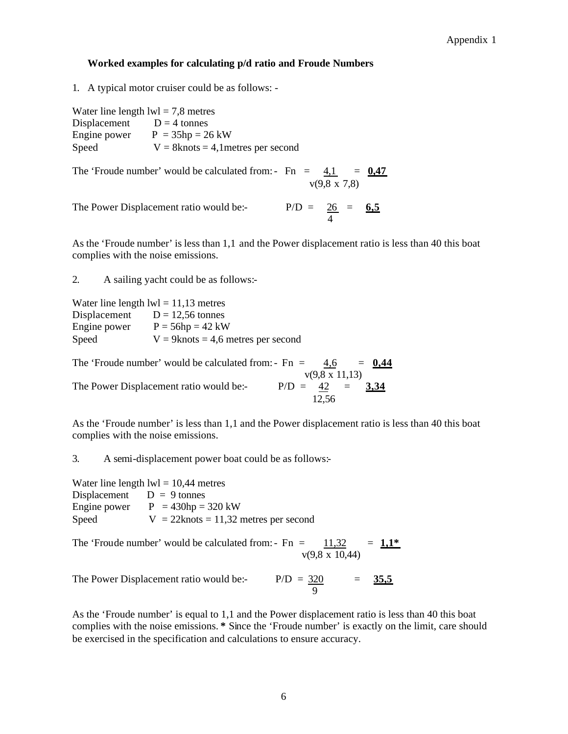#### Appendix 1

#### **Worked examples for calculating p/d ratio and Froude Numbers**

1. A typical motor cruiser could be as follows: -

|              | Water line length $Iwl = 7.8$ metres |
|--------------|--------------------------------------|
| Displacement | $D = 4$ tonnes                       |
| Engine power | $P = 35hp = 26 kW$                   |
| Speed        | $V = 8knots = 4,1$ metres per second |

The 'Froude number' would be calculated from:-  $Fn = 4,1 = 0.47$  $v(9,8 \times 7,8)$ 

The Power Displacement ratio would be:-  $P/D = 26 = 6.5$ 4

As the 'Froude number' is less than 1,1 and the Power displacement ratio is less than 40 this boat complies with the noise emissions.

2. A sailing yacht could be as follows:-

| Water line length $lw = 11,13$ metres |                                       |
|---------------------------------------|---------------------------------------|
| Displacement                          | $D = 12,56$ tonnes                    |
| Engine power                          | $P = 56hp = 42 kW$                    |
| Speed                                 | $V = 9$ knots = 4,6 metres per second |

The 'Froude number' would be calculated from:- $Fn = 4,6 = 0,44$  v(9,8 x 11,13) The Power Displacement ratio would be:-  $P/D = 42 = 3.34$ 12,56

As the 'Froude number' is less than 1,1 and the Power displacement ratio is less than 40 this boat complies with the noise emissions.

3. A semi-displacement power boat could be as follows:-

Water line length  $\text{lw1} = 10,44$  metres Displacement  $D = 9$  tonnes Engine power  $P = 430$ hp = 320 kW Speed  $V = 22$ knots = 11,32 metres per second

The 'Froude number' would be calculated from: - Fn =  $11,32 = 1.1*$ v(9,8 x 10,44)

The Power Displacement ratio would be:-  $P/D = 320 = 35.5$ 9

As the 'Froude number' is equal to 1,1 and the Power displacement ratio is less than 40 this boat complies with the noise emissions. **\*** Since the 'Froude number' is exactly on the limit, care should be exercised in the specification and calculations to ensure accuracy.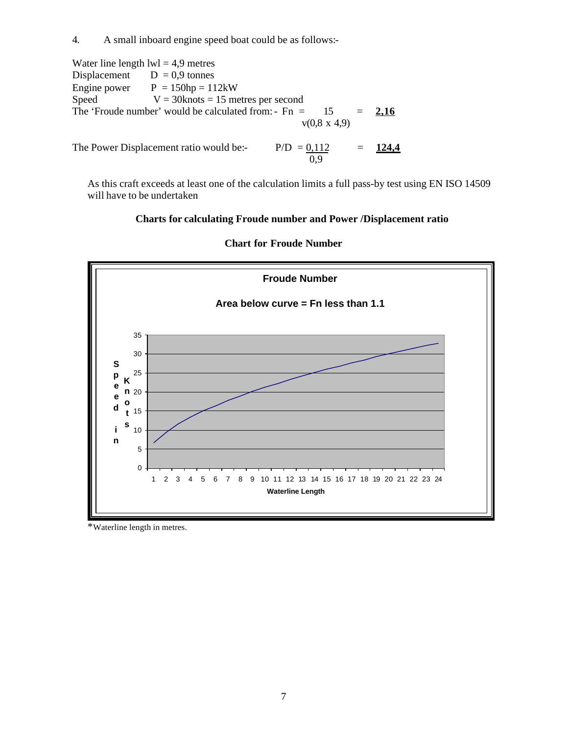4. A small inboard engine speed boat could be as follows:-

Water line length  $\text{lw1} = 4.9$  metres Displacement  $D = 0.9$  tonnes Engine power  $P = 150$ hp = 112kW Speed  $V = 30$ knots = 15 metres per second The 'Froude number' would be calculated from: - Fn =  $15 = 2.16$  v(0,8 x 4,9) The Power Displacement ratio would be:-  $P/D = 0.112 = 124.4$ 0,9

As this craft exceeds at least one of the calculation limits a full pass-by test using EN ISO 14509 will have to be undertaken

### **Charts for calculating Froude number and Power /Displacement ratio**



#### **Chart for Froude Number**

\*Waterline length in metres.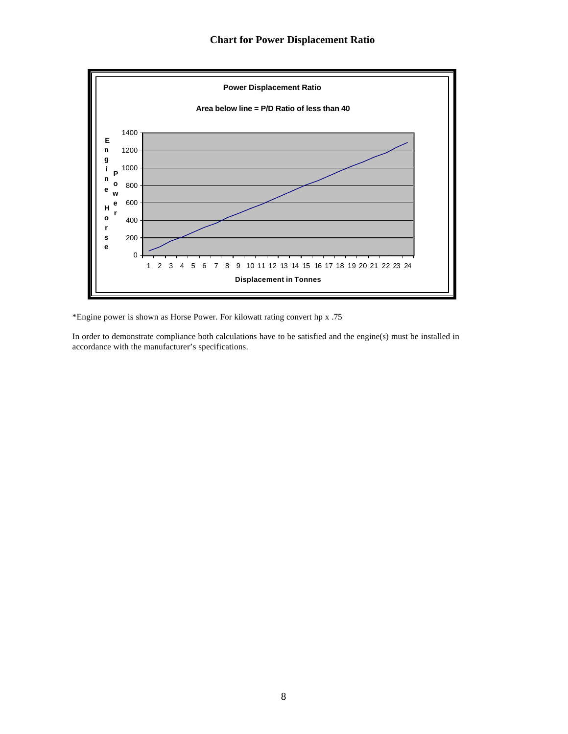## **Chart for Power Displacement Ratio**



\*Engine power is shown as Horse Power. For kilowatt rating convert hp x .75

In order to demonstrate compliance both calculations have to be satisfied and the engine(s) must be installed in accordance with the manufacturer's specifications.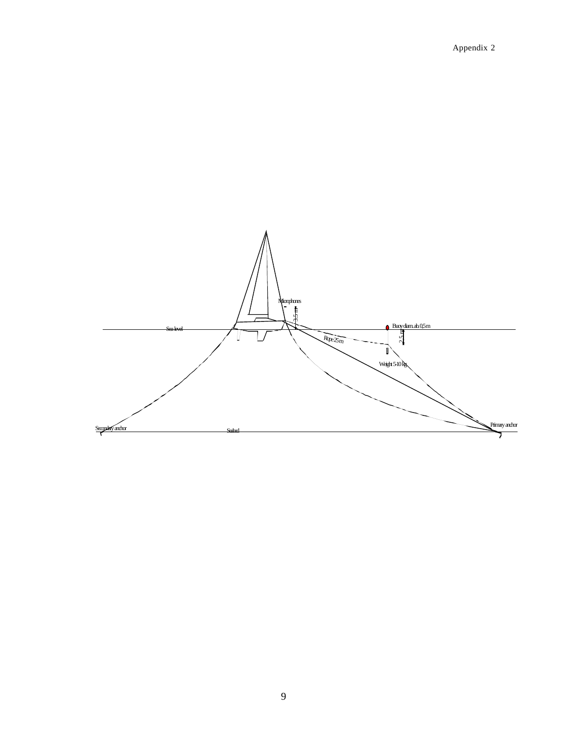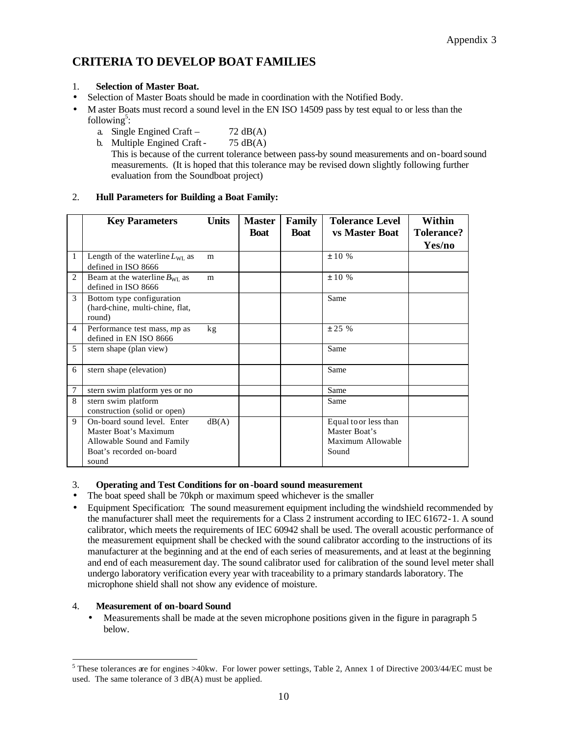# **CRITERIA TO DEVELOP BOAT FAMILIES**

- Selection of Master Boats should be made in coordination with the Notified Body.
- M aster Boats must record a sound level in the EN ISO 14509 pass by test equal to or less than the following<sup>5</sup>:
	- a. Single Engined Craft  $72 \text{ dB}(A)$
	- b. Multiple Engined Craft  $75 \text{ dB}(A)$ This is because of the current tolerance between pass-by sound measurements and on-board sound measurements. (It is hoped that this tolerance may be revised down slightly following further evaluation from the Soundboat project)

### 2. **Hull Parameters for Building a Boat Family:**

|                | <b>Key Parameters</b>                                                                                                   | <b>Units</b>    | <b>Master</b><br><b>Boat</b> | <b>Family</b><br><b>Boat</b> | <b>Tolerance Level</b><br><b>vs Master Boat</b>                      | Within<br><b>Tolerance?</b><br>Yes/no |
|----------------|-------------------------------------------------------------------------------------------------------------------------|-----------------|------------------------------|------------------------------|----------------------------------------------------------------------|---------------------------------------|
| 1              | Length of the waterline $L_{\text{WL}}$ as<br>defined in ISO 8666                                                       | m               |                              |                              | ± 10%                                                                |                                       |
| $\mathfrak{D}$ | Beam at the waterline $B_{\text{WI}}$ as<br>defined in ISO 8666                                                         | m               |                              |                              | $\pm 10\%$                                                           |                                       |
| 3              | Bottom type configuration<br>(hard-chine, multi-chine, flat,<br>round)                                                  |                 |                              |                              | Same                                                                 |                                       |
| 4              | Performance test mass, mp as<br>defined in EN ISO 8666                                                                  | kg <sub>2</sub> |                              |                              | ± 25%                                                                |                                       |
| 5              | stern shape (plan view)                                                                                                 |                 |                              |                              | Same                                                                 |                                       |
| 6              | stern shape (elevation)                                                                                                 |                 |                              |                              | Same                                                                 |                                       |
| 7              | stern swim platform yes or no                                                                                           |                 |                              |                              | Same                                                                 |                                       |
| 8              | stern swim platform<br>construction (solid or open)                                                                     |                 |                              |                              | Same                                                                 |                                       |
| 9              | On-board sound level. Enter<br>Master Boat's Maximum<br>Allowable Sound and Family<br>Boat's recorded on-board<br>sound | dB(A)           |                              |                              | Equal to or less than<br>Master Boat's<br>Maximum Allowable<br>Sound |                                       |

#### 3. **Operating and Test Conditions for on-board sound measurement**

- The boat speed shall be 70kph or maximum speed whichever is the smaller
- Equipment Specification: The sound measurement equipment including the windshield recommended by the manufacturer shall meet the requirements for a Class 2 instrument according to IEC 61672-1. A sound calibrator, which meets the requirements of IEC 60942 shall be used. The overall acoustic performance of the measurement equipment shall be checked with the sound calibrator according to the instructions of its manufacturer at the beginning and at the end of each series of measurements, and at least at the beginning and end of each measurement day. The sound calibrator used for calibration of the sound level meter shall undergo laboratory verification every year with traceability to a primary standards laboratory. The microphone shield shall not show any evidence of moisture.

#### 4. **Measurement of on-board Sound**

 $\overline{\phantom{a}}$ 

• Measurements shall be made at the seven microphone positions given in the figure in paragraph 5 below.

<sup>1.</sup> **Selection of Master Boat.**

 $5$  These tolerances are for engines >40kw. For lower power settings, Table 2, Annex 1 of Directive 2003/44/EC must be used. The same tolerance of 3 dB(A) must be applied.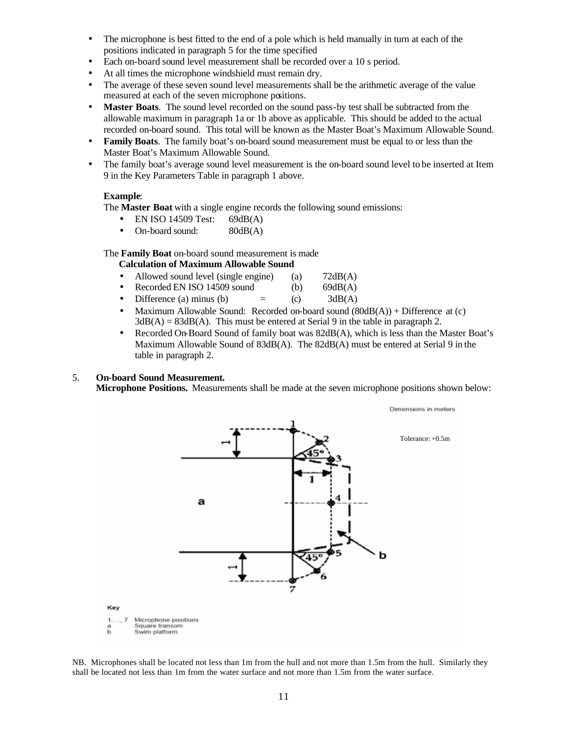- The microphone is best fitted to the end of a pole which is held manually in turn at each of the positions indicated in paragraph 5 for the time specified
- Each on-board sound level measurement shall be recorded over a 10 s period.
- At all times the microphone windshield must remain dry.
- The average of these seven sound level measurements shall be the arithmetic average of the value measured at each of the seven microphone positions.
- Master Boats. The sound level recorded on the sound pass-by test shall be subtracted from the allowable maximum in paragraph 1a or 1b above as applicable. This should be added to the actual recorded on-board sound. This total will be known as the Master Boat's Maximum Allowable Sound.
- **Family Boats**. The family boat's on-board sound measurement must be equal to or less than the Master Boat's Maximum Allowable Sound.
- The family boat's average sound level measurement is the on-board sound level to be inserted at Item 9 in the Key Parameters Table in paragraph 1 above.

#### **Example**:

The **Master Boat** with a single engine records the following sound emissions:

- EN ISO 14509 Test: 69dB(A)
- On-board sound: 80dB(A)

The **Family Boat** on-board sound measurement is made

#### **Calculation of Maximum Allowable Sound**

- Allowed sound level (single engine) (a) 72dB(A)
- Recorded EN ISO 14509 sound (b) 69dB(A)
- Difference (a) minus (b)  $=$  (c)  $3dB(A)$
- Maximum Allowable Sound: Recorded on-board sound  $(80dB(A)) + Difference$  at (c)  $3dB(A) = 83dB(A)$ . This must be entered at Serial 9 in the table in paragraph 2.
- Recorded On-Board Sound of family boat was  $82dB(A)$ , which is less than the Master Boat's Maximum Allowable Sound of 83dB(A). The 82dB(A) must be entered at Serial 9 in the table in paragraph 2.

#### 5. **On-board Sound Measurement.**

**Microphone Positions.** Measurements shall be made at the seven microphone positions shown below:



NB. Microphones shall be located not less than 1m from the hull and not more than 1.5m from the hull. Similarly they shall be located not less than 1m from the water surface and not more than 1.5m from the water surface.